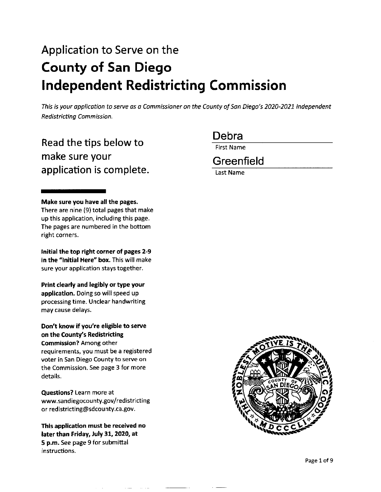# Application to Serve on the **County of San Diego Independent Redistricting Commission**

This is your application to serve as a Commissioner on the County of San Diego's 2020-2021 Independent Redistricting Commission.

Read the tips below to make sure your application is complete. Debra

First Name

**Greenfield** 

Last Name

#### **Make sure you have all the pages.**

There are nine (9) total pages that make up this application, including this page. The pages are numbered in the bottom right corners.

**Initial the top right corner of pages 2-9**  in the "Initial Here" box. This will make sure your application stays together.

**Print clearly and legibly or type your application.** Doing so will speed up processing time. Unclear handwriting may cause delays.

**Don't know if you're eligible to serve on the County's Redistricting Commission?** Among other requirements, you must be a registered voter in San Diego County to serve on the Commission. See page 3 for more details.

**Questions?** Learn more at www.sandiegocounty.gov/redistricting or redistricting@sdcounty.ca.gov.

**This application must be received no later than Friday, July 31, 2020, at S p.m.** See page 9 for submittal instructions.

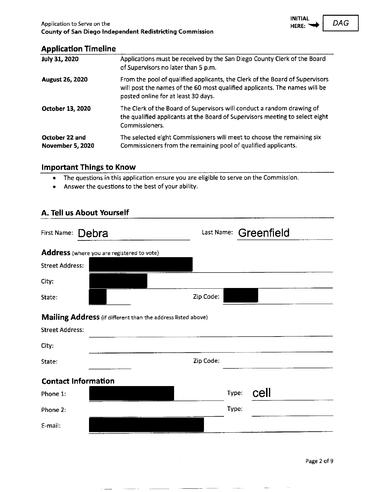### **.\_ \_\_\_ ...J**

#### **Application Timeline**

| <b>July 31, 2020</b>               | Applications must be received by the San Diego County Clerk of the Board<br>of Supervisors no later than 5 p.m.                                                                                   |
|------------------------------------|---------------------------------------------------------------------------------------------------------------------------------------------------------------------------------------------------|
| <b>August 26, 2020</b>             | From the pool of qualified applicants, the Clerk of the Board of Supervisors<br>will post the names of the 60 most qualified applicants. The names will be<br>posted online for at least 30 days. |
| October 13, 2020                   | The Clerk of the Board of Supervisors will conduct a random drawing of<br>the qualified applicants at the Board of Supervisors meeting to select eight<br>Commissioners.                          |
| October 22 and<br>November 5, 2020 | The selected eight Commissioners will meet to choose the remaining six<br>Commissioners from the remaining pool of qualified applicants.                                                          |

#### **Important Things to Know**

- The questions in this application ensure you are eligible to serve on the Commission.
- Answer the questions to the best of your ability.

### **A. Tell us About Yourself**

| Debra<br>First Name:                                         |           |       | Last Name: Greenfield |  |
|--------------------------------------------------------------|-----------|-------|-----------------------|--|
| Address (where you are registered to vote)                   |           |       |                       |  |
| <b>Street Address:</b>                                       |           |       |                       |  |
| City:                                                        |           |       |                       |  |
| State:                                                       | Zip Code: |       |                       |  |
| Mailing Address (if different than the address listed above) |           |       |                       |  |
| <b>Street Address:</b>                                       |           |       |                       |  |
| City.                                                        |           |       |                       |  |
| State:                                                       | Zip Code: |       |                       |  |
| <b>Contact Information</b>                                   |           |       |                       |  |
| Phone 1:                                                     |           | Type: | cell                  |  |
| Phone 2:                                                     |           | Type: |                       |  |
| E-mail:                                                      |           |       |                       |  |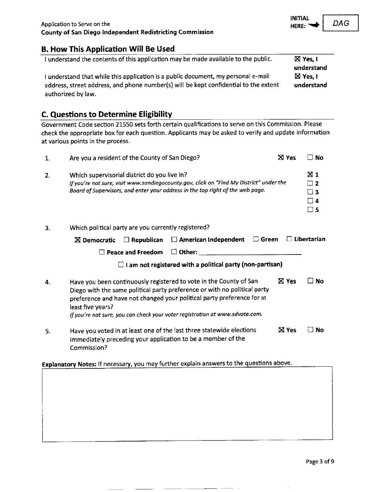# **B. How This Application Will Be Used**

| I understand the contents of this application may be made available to the public.   | $\boxtimes$ Yes. I |
|--------------------------------------------------------------------------------------|--------------------|
|                                                                                      | understand         |
| I understand that while this application is a public document, my personal e-mail    | $\boxtimes$ Yes. I |
| address, street address, and phone number(s) will be kept confidential to the extent | understand         |
| authorized by law.                                                                   |                    |

### **C. Questions to Determine Eligibility**

Government Code section 21550 sets forth certain qualifications to serve on this Commission. Please check the appropriate box for each question. Applicants may be asked to verify and update information at various points in the process.

| 1. | Are you a resident of the County of San Diego?                                                                                                                                                                                                                                                                                 |              | $\Box$ No                                           |
|----|--------------------------------------------------------------------------------------------------------------------------------------------------------------------------------------------------------------------------------------------------------------------------------------------------------------------------------|--------------|-----------------------------------------------------|
| 2. | Which supervisorial district do you live in?<br>If you're not sure, visit www.sandiegocounty.gov, click on "Find My District" under the<br>Board of Supervisors, and enter your address in the top right of the web page.                                                                                                      |              | <b>X</b> 1<br>$\sqcap$ 2<br>⊟з<br>Π4<br>$\square$ 5 |
| з. | Which political party are you currently registered?                                                                                                                                                                                                                                                                            |              |                                                     |
|    | $\Box$ Green<br>$\Box$ American Independent<br>$\Box$ Republican<br>$\boxtimes$ Democratic                                                                                                                                                                                                                                     |              | $\Box$ Libertarian                                  |
|    | $\Box$ Other:<br><b>Peace and Freedom</b><br>$\perp$                                                                                                                                                                                                                                                                           |              |                                                     |
|    | I am not registered with a political party (non-partisan)<br>$\Box$                                                                                                                                                                                                                                                            |              |                                                     |
| 4. | Have you been continuously registered to vote in the County of San<br>Diego with the same political party preference or with no political party<br>preference and have not changed your political party preference for at<br>least five years?<br>If you're not sure, you can check your voter registration at www.sdvote.com. | <b>X</b> Yes | ™ No                                                |
| 5. | Have you voted in at least one of the last three statewide elections<br>immediately preceding your application to be a member of the<br>Commission?                                                                                                                                                                            | <b>X</b> Yes | No                                                  |

# **Explanatory Notes:** If necessary, you may further explain answers to the questions above.

-------

 $DAG$ 

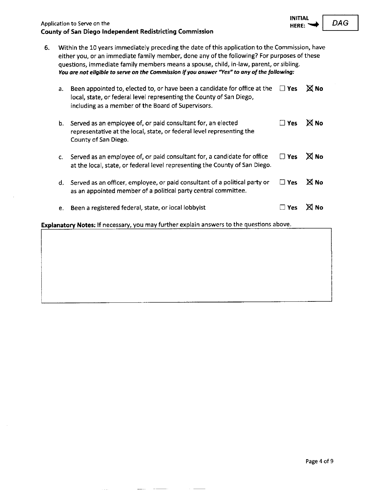| Application to Serve on the                              | $HERE: \rightarrow   DAG$ |  |
|----------------------------------------------------------|---------------------------|--|
| County of San Diego Independent Redistricting Commission |                           |  |

6. Within the 10 years immediately preceding the date of this application to the Commission, have either you, or an immediate family member, done any of the following? For purposes of these questions, immediate family members means a spouse, child, in-law, parent, or sibling. *You are not eligible to serve on the Commission if you answer "Yes» ta any of the following:* 

| a. | Been appointed to, elected to, or have been a candidate for office at the<br>local, state, or federal level representing the County of San Diego,<br>including as a member of the Board of Supervisors. | $\square$ Yes | <b>X</b> No  |
|----|---------------------------------------------------------------------------------------------------------------------------------------------------------------------------------------------------------|---------------|--------------|
| b. | Served as an employee of, or paid consultant for, an elected<br>representative at the local, state, or federal level representing the<br>County of San Diego.                                           | □ Yes         | <b>X</b> No  |
| С. | Served as an employee of, or paid consultant for, a candidate for office<br>at the local, state, or federal level representing the County of San Diego.                                                 | $\square$ Yes | <b>X</b> No  |
|    | d. Served as an officer, employee, or paid consultant of a political party or<br>as an appointed member of a political party central committee.                                                         | $\square$ Yes | <b>X</b> No  |
| e. | Been a registered federal, state, or local lobbyist                                                                                                                                                     | $\Box$ Yes    | <b>XI No</b> |
|    |                                                                                                                                                                                                         |               |              |

**Explanatory Notes:** If necessary, you may further explain answers to the questions above.

 $DAG$ 

**INITIAL**<br>HERE: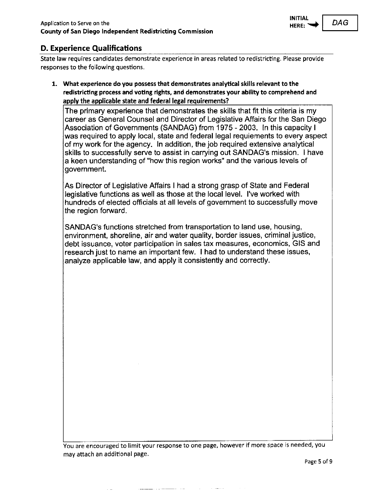

### **D. Experience Qualifications**

State law requires candidates demonstrate experience in areas related to redistricting. Please provide responses to the following questions.

**1. What experience do you possess that demonstrates analytical skills relevant to the redistricting process and voting rights, and demonstrates your ability to comprehend and apply the applicable state and federal legal requirements?** 

The primary experience that demonstrates the skills that fit this criteria is my career as General Counsel and Director of Legislative Affairs for the San Diego Association of Governments (SANDAG) from 1975 - 2003. In this capacity I was required to apply local, state and federal legal requiements to every aspect of my work for the agency. In addition, the job required extensive analytical skills to successfully serve to assist in carrying out SANDAG's mission. I have a keen understanding of "how this region works" and the various levels of government.

As Director of Legislative Affairs I had a strong grasp of State and Federal legislative functions as well as those at the local level. I've worked with hundreds of elected officials at all levels of government to successfully move the region forward.

SANDAG's functions stretched from transportation to land use, housing, environment, shoreline, air and water quality, border issues, criminal justice, debt issuance, voter participation in sales tax measures, economics, GIS and research just to name an important few. I had to understand these issues, analyze applicable law, and apply it consistently and correctly.

You are encouraged to limit your response to one page, however if more space is needed, you may attach an additional page.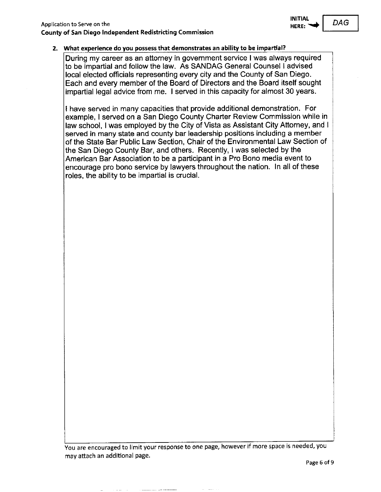#### 2. What experience do you possess that demonstrates an ability to be impartial?

During my career as an attorney in government service I was always required to be impartial and follow the law. As SANDAG General Counsel I advised local elected officials representing every city and the County of San Diego. Each and every member of the Board of Directors and the Board itself sought impartial legal advice from me. I served in this capacity for almost 30 years.

I have served in many capacities that provide additional demonstration. For example, I served on a San Diego County Charter Review Commission while in law school, I was employed by the City of Vista as Assistant City Attorney, and I served in many state and county bar leadership positions including a member of the State Bar Public Law Section, Chair of the Environmental Law Section of the San Diego County Bar, and others. Recently, I was selected by the American Bar Association to be a participant in a Pro Bono media event to encourage pro bono service by lawyers throughout the nation. In all of these roles, the ability to be impartial is crucial.

You are encouraged to limit your response to one page, however if more space is needed, you may attach an additional page.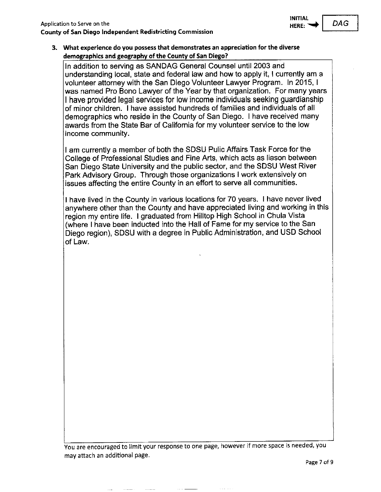**3. What experience do you possess that demonstrates an appreciation for** the **diverse demographics and geography of the County of San Diego?** 

In addition to serving as SANDAG General Counsel until 2003 and understanding local, state and federal law and how to apply it, I currently am a volunteer attorney with the San Diego Volunteer Lawyer Program. In 2015, I was named Pro Bono Lawyer of the Year by that organization. For many years I have provided legal services for low income individuals seeking guardianship of minor children. I have assisted hundreds of families and individuals of all demographics who reside in the County of San Diego. I have received many awards from the State Bar of California for my volunteer service to the low income community.

I am currently a member of both the SDSU Pulic Affairs Task Force for the College of Professional Studies and Fine Arts, which acts as liason between San Diego State University and the public sector, and the SDSU West River Park Advisory Group. Through those organizations I work extensively on issues affecting the entire County in an effort to serve all communities.

I have lived in the County in various locations for 70 years. I have never lived anywhere other than the County and have appreciated living and working in this region my entire life. I graduated from Hilltop High School in Chula Vista (where I have been inducted into the Hall of Fame for my service to the San Diego region), SDSU with a degree in Public Administration, and USD School of Law.

You are encouraged to limit your response to one page, however if more space is needed, you may attach an additional page.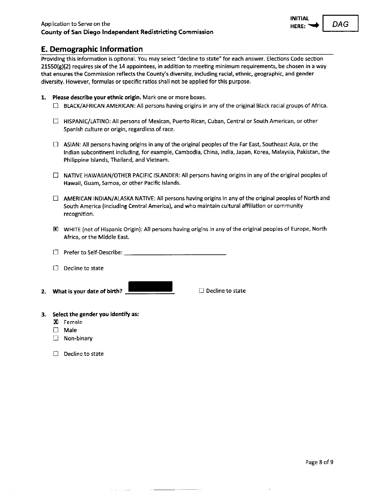Providing this information is optional. You may select "decline to state" for each answer. Elections Code section  $21550(g)(2)$  requires six of the 14 appointees, in addition to meeting minimum requirements, be chosen in a way **that ensures the Commission reflects the County's diversity, including racial, ethnic, geographic, and gender**  diversity. However, formulas or specific ratios shall not be applied for this purpose.

- 1. **Please describe your ethnic origin.** Mark one or more boxes.
	- D BLACK/AFRICAN AMERICAN: All persons having origins in any of the original Black racial groups of Africa.
	- $\Box$  HISPANIC/LATINO: All persons of Mexican, Puerto Rican, Cuban, Central or South American, or other Spanish culture or origin, regardless of race.
	- $\Box$  ASIAN: All persons having origins in any of the original peoples of the Far East, Southeast Asia, or the Indian subcontinent including, for example, Cambodia, China, India, Japan, Korea, Malaysia, Pakistan, the Philippine Islands, Thailand, and Vietnam.
	- $\Box$  NATIVE HAWAIIAN/OTHER PACIFIC ISLANDER: All persons having origins in any of the original peoples of **Hawaii, Guam, Samoa, or other Pacific Islands.**
	- $\Box$  AMERICAN INDIAN/ALASKA NATIVE: All persons having origins in any of the original peoples of North and South America (including Central America), and who maintain cultural affiliation or community **recognition.**
	- 00 WHITE (not of Hispanic Origin): All persons having origins in any of the original peoples of Europe, North Africa, or the Middle East.
	- $\square$  Prefer to Self-Describe:  $\square$
	- $\Box$  Decline to state
- **2. What is your date of birth?** \_

□ Decline to state

- **3. Select the gender you identify as:** 
	- IXl Female
	- D Male
	- □ Non-binary
	- $\Box$  Decline to state

**INITIAL** 

 $DAG$